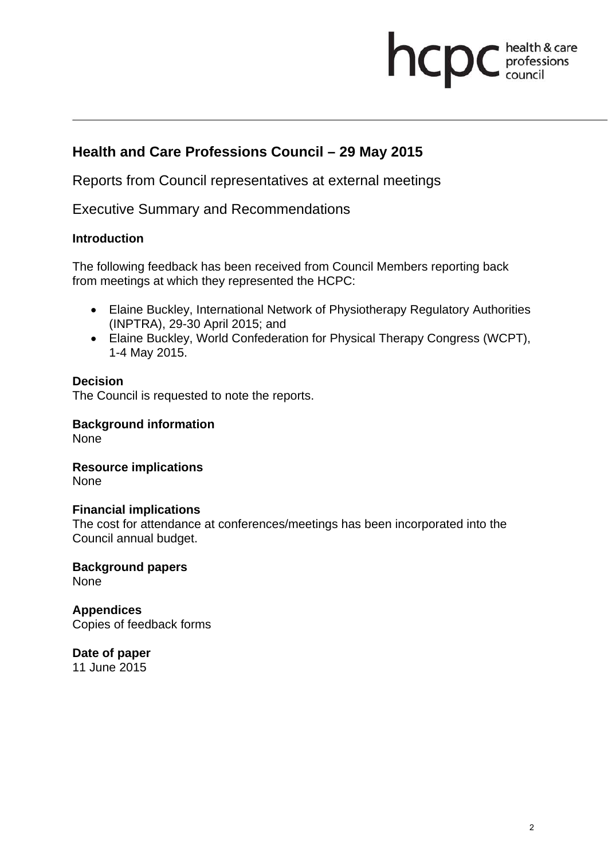# **health & care**

# **Health and Care Professions Council – 29 May 2015**

Reports from Council representatives at external meetings

Executive Summary and Recommendations

### **Introduction**

The following feedback has been received from Council Members reporting back from meetings at which they represented the HCPC:

- Elaine Buckley, International Network of Physiotherapy Regulatory Authorities (INPTRA), 29-30 April 2015; and
- Elaine Buckley, World Confederation for Physical Therapy Congress (WCPT), 1-4 May 2015.

### **Decision**

The Council is requested to note the reports.

**Background information**  None

**Resource implications**  None

#### **Financial implications**

The cost for attendance at conferences/meetings has been incorporated into the Council annual budget.

**Background papers**  None

**Appendices**  Copies of feedback forms

**Date of paper**  11 June 2015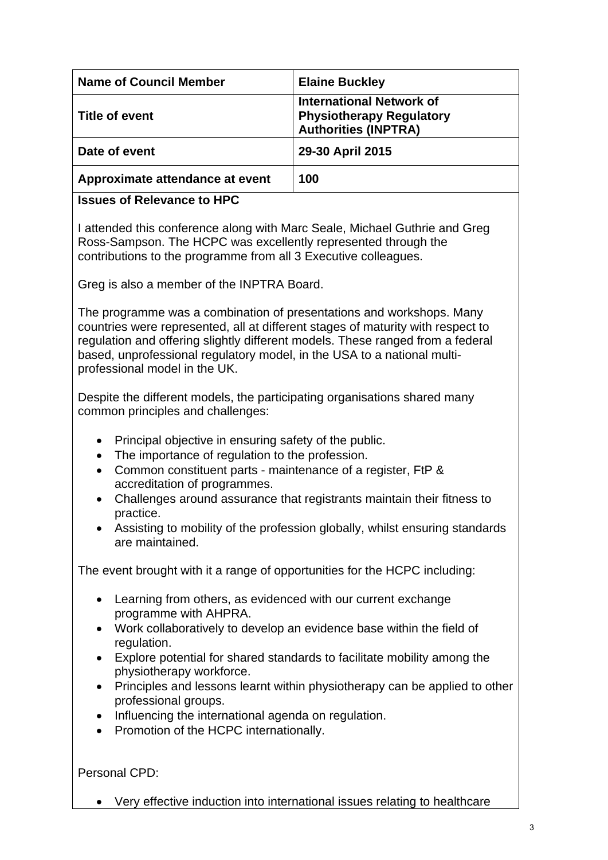| <b>Name of Council Member</b>   | <b>Elaine Buckley</b>                                                                             |
|---------------------------------|---------------------------------------------------------------------------------------------------|
| Title of event                  | <b>International Network of</b><br><b>Physiotherapy Regulatory</b><br><b>Authorities (INPTRA)</b> |
| Date of event                   | 29-30 April 2015                                                                                  |
| Approximate attendance at event | 100                                                                                               |

## **Issues of Relevance to HPC**

I attended this conference along with Marc Seale, Michael Guthrie and Greg Ross-Sampson. The HCPC was excellently represented through the contributions to the programme from all 3 Executive colleagues.

Greg is also a member of the INPTRA Board.

The programme was a combination of presentations and workshops. Many countries were represented, all at different stages of maturity with respect to regulation and offering slightly different models. These ranged from a federal based, unprofessional regulatory model, in the USA to a national multiprofessional model in the UK.

Despite the different models, the participating organisations shared many common principles and challenges:

- Principal objective in ensuring safety of the public.
- The importance of regulation to the profession.
- Common constituent parts maintenance of a register, FtP & accreditation of programmes.
- Challenges around assurance that registrants maintain their fitness to practice.
- Assisting to mobility of the profession globally, whilst ensuring standards are maintained.

The event brought with it a range of opportunities for the HCPC including:

- Learning from others, as evidenced with our current exchange programme with AHPRA.
- Work collaboratively to develop an evidence base within the field of regulation.
- Explore potential for shared standards to facilitate mobility among the physiotherapy workforce.
- Principles and lessons learnt within physiotherapy can be applied to other professional groups.
- Influencing the international agenda on regulation.
- Promotion of the HCPC internationally.

Personal CPD:

Very effective induction into international issues relating to healthcare